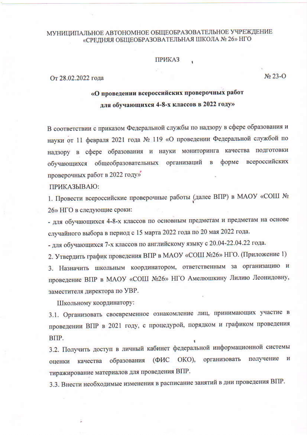## МУНИЦИПАЛЬНОЕ АВТОНОМНОЕ ОБЩЕОБРАЗОВАТЕЛЬНОЕ УЧРЕЖДЕНИЕ «СРЕДНЯЯ ОБЩЕОБРАЗОВАТЕЛЬНАЯ ШКОЛА № 26» НГО

## **ПРИКАЗ**

От 28.02.2022 года

## «О проведении всероссийских проверочных работ для обучающихся 4-8-х классов в 2022 году»

В соответствии с приказом Федеральной службы по надзору в сфере образования и науки от 11 февраля 2021 года № 119 «О проведении Федеральной службой по надзору в сфере образования и науки мониторинга качества подготовки обучающихся общеобразовательных организаций в форме всероссийских проверочных работ в 2022 году»

ПРИКАЗЫВАЮ:

1. Провести всероссийские проверочные работы (далее ВПР) в МАОУ «СОШ № 26» НГО в следующие сроки:

- для обучающихся 4-8-х классов по основным предметам и предметам на основе случайного выбора в период с 15 марта 2022 года по 20 мая 2022 года.

- для обучающихся 7-х классов по английскому языку с 20.04-22.04.22 года.

2. Утвердить график проведения ВПР в МАОУ «СОШ №26» НГО. (Приложение 1)

3. Назначить школьным координатором, ответственным за организацию и проведение ВПР в МАОУ «СОШ №26» НГО Амелюшкину Лилию Леонидовну, заместителя директора по УВР.

Школьному координатору:

3.1. Организовать своевременное ознакомление лиц, принимающих участие в проведении ВПР в 2021 году, с процедурой, порядком и графиком проведения BIIP.

3.2. Получить доступ в личный кабинет федеральной информационной системы образования (ФИС ОКО), организовать получение  $\mathbf{H}$ качества оценки тиражирование материалов для проведения ВПР.

3.3. Внести необходимые изменения в расписание занятий в дни проведения ВПР.

No 23-O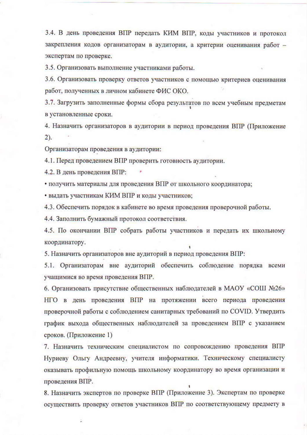3.4. В день проведения ВПР передать КИМ ВПР, коды участников и протокол закрепления кодов организаторам в аудитории, а критерии оценивания работ экспертам по проверке.

3.5. Организовать выполнение участниками работы.

3.6. Организовать проверку ответов участников с помощью критериев оценивания работ, полученных в личном кабинете ФИС ОКО.

3.7. Загрузить заполненные формы сбора результатов по всем учебным предметам в установленные сроки.

4. Назначить организаторов в аудитории в период проведения ВПР (Приложение  $(2)$ .

Организаторам проведения в аудитории:

4.1. Перед проведением ВПР проверить готовность аудитории.

4.2. В день проведения ВПР:

• получить материалы для проведения ВПР от школьного координатора;

• выдать участникам КИМ ВПР и коды участников;

4.3. Обеспечить порядок в кабинете во время проведения проверочной работы.

4.4. Заполнить бумажный протокол соответствия.

4.5. По окончании ВПР собрать работы участников и передать их школьному координатору.

5. Назначить организаторов вне аудиторий в период проведения ВПР:

5.1. Организаторам вне аудиторий обеспечить соблюдение порядка всеми учащимися во время проведения ВПР.

6. Организовать присутствие общественных наблюдателей в МАОУ «СОШ №26» НГО в день проведения ВПР на протяжении всего периода проведения проверочной работы с соблюдением санитарных требований по COVID. Утвердить график выхода общественных наблюдателей за проведением ВПР с указанием сроков. (Приложение 1)

7. Назначить техническим специалистом по сопровождению проведения ВПР Нуриеву Ольгу Андреевну, учителя информатики. Техническому специалисту оказывать профильную помощь школьному координатору во время организации и проведения ВПР.

8. Назначить экспертов по проверке ВПР (Приложение 3). Экспертам по проверке осуществить проверку ответов участников ВПР по соответствующему предмету в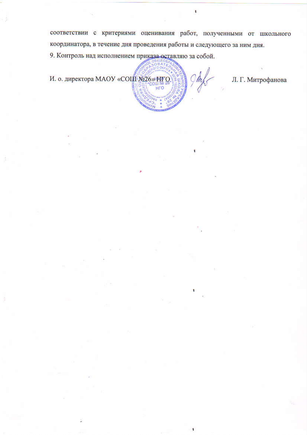соответствии с критериями оценивания работ, полученными от школьного координатора, в течение дня проведения работы и следующего за ним дня.

9. Контроль над исполнением приказа оставляю за собой.

И. о. директора МАОУ «СОЦІ №26» НГО



Л. Г. Митрофанова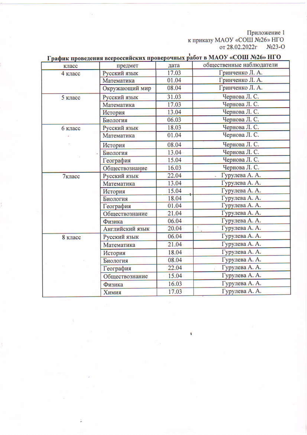$$\rm \textsc{Tpm}$ к приказу МАОУ «СОШ №26» НГО от 28.02.2022г №23-О

| класс   | предмет         | дата  | общественные наблюдатели |
|---------|-----------------|-------|--------------------------|
| 4 класс | Русский язык    | 17.03 | Гринченко Л. А.          |
|         | Математика      | 01.04 | Гринченко Л. А.          |
|         | Окружающий мир  | 08.04 | Гринченко Л. А.          |
| 5 класс | Русский язык    | 31.03 | Чернова Л. С.            |
|         | Математика      | 17.03 | Чернова Л. С.            |
|         | История         | 13.04 | Чернова Л. С.            |
|         | Биология        | 06.03 | Чернова Л. С.            |
| 6 класс | Русский язык    | 18.03 | Чернова Л. С.            |
| ä.      | Математика      | 01.04 | Чернова Л. С.            |
|         | История         | 08.04 | Чернова Л. С.            |
|         | Биология        | 13.04 | Чернова Л. С.            |
|         | География       | 15.04 | Чернова Л. С.            |
|         | Обществознание  | 16.03 | Чернова Л. С.            |
| 7класс  | Русский язык    | 22.04 | Гурулева А. А.           |
|         | Математика      | 13.04 | Гурулева А. А.           |
|         | История         | 15.04 | Гурулева А. А.           |
|         | Биология        | 18.04 | Гурулева А. А.           |
|         | География       | 01.04 | Гурулева А. А.           |
|         | Обществознание  | 21.04 | Гурулева А. А.           |
|         | Физика          | 06.04 | Гурулева А. А.           |
|         | Английский язык | 20.04 | Гурулева А. А.           |
| 8 класс | Русский язык    | 06.04 | Гурулева А. А.           |
|         | Математика      | 21.04 | Гурулева А. А.           |
|         | История         | 18.04 | Гурулева А. А.           |
|         | Биология        | 08.04 | Гурулева А. А.           |
|         | География       | 22.04 | Гурулева А. А.           |
|         | Обществознание  | 15.04 | Гурулева А. А.           |
|         | Физика          | 16.03 | Гурулева А. А.           |
|         | Химия           | 17.03 | Гурулева А. А.           |

 $rrn$  $\frac{1}{2}$ 

ï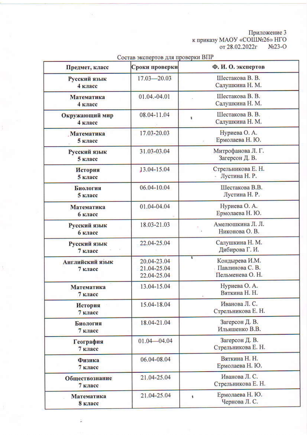$$\rm \textsc{Tpm} \textsc{name3}\xspace$$ к приказу МАОУ «СОШ№26» НГО от 28.02.2022г №23-О

| Предмет, класс                    | Сроки проверки                            | Ф. И. О. экспертов                                          |
|-----------------------------------|-------------------------------------------|-------------------------------------------------------------|
| Русский язык<br>4 класс           | $17.03 - 20.03$                           | Шестакова В. В.<br>Салушкина Н. М.                          |
| Математика<br>4 класс             | 01.04.-04.01                              | Шестакова В. В.<br>Салушкина Н. М.                          |
| Окружающий мир<br>4 класс         | 08.04-11.04                               | Шестакова В. В.<br>Салушкина Н. М.                          |
| Математика<br>5 класс             | 17.03-20.03                               | Нуриева О. А.<br>Ермолаева Н. Ю.                            |
| Русский язык<br>5 класс           | 31.03-03.04                               | Митрофанова Л. Г.<br>Загерсон Д. В.                         |
| История<br>5 класс                | 13.04-15.04                               | Стрельникова Е. Н.<br>Лустина Н. Р.                         |
| Биология<br>5 класс               | 06.04-10.04                               | Шестакова В.В.<br>Лустина Н. Р.                             |
| Математика<br>6 класс             | 01.04-04.04                               | Нуриева О. А.<br>Ермолаева Н. Ю.                            |
| Русский язык<br>6 класс           | 18.03-21.03                               | Амелюшкина Л. Л.<br>Никонова О. В.                          |
| Русский язык<br>7 класс           | 22.04-25.04                               | Салушкина Н. М.<br>Дибирова Г. И.                           |
| <b>Английский язык</b><br>7 класс | 20.04-23.04<br>21.04-25.04<br>22.04-25.04 | ¢.<br>Кондырева И.М.<br>Павлинова С. В.<br>Пельменева О. Н. |
| Математика<br>7 класс             | 13.04-15.04                               | Нуриева О. А.<br>Вяткина Н. Н.                              |
| История<br>7 класс                | 15.04-18.04                               | Иванова Л. С.<br>Стрельникова Е. Н.                         |
| Биология<br>7 класс               | 18.04-21.04                               | Загерсон Д. В.<br>Ильяшенко В.В.                            |
| География<br>7 класс              | $01.04 - 04.04$                           | Загерсон Д. В.<br>Стрельникова Е. Н.                        |
| Физика<br>7 класс                 | 06.04-08.04                               | Вяткина Н. Н.<br>Ермолаева Н. Ю.                            |
| Обществознание<br>7 класс         | 21.04-25.04                               | Иванова Л. С.<br>Стрельникова Е. Н.                         |
| Математика<br>8 класс             | 21.04-25.04                               | Ермолаева Н. Ю.<br>ŧ<br>Чернова Л. С.                       |

ż